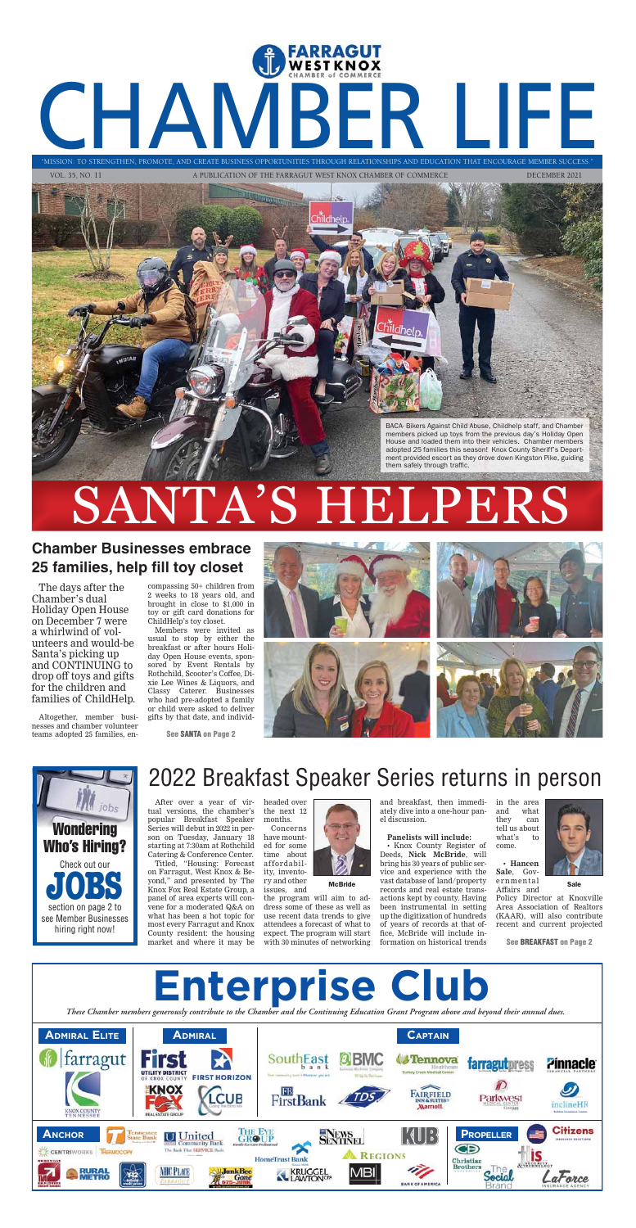

VOL. 35, NO. 11 A PUBLICATION OF THE FARRAGUT WEST KNOX CHAMBER OF COMMERCE DECEMBER 2021





# SANTA'S HELPERS



#### **Chamber Businesses embrace 25 families, help fill toy closet**

The days after the Chamber's dual Holiday Open House on December 7 were a whirlwind of volunteers and would-be Santa's picking up and CONTINUING to drop off toys and gifts for the children and families of ChildHelp.

Altogether, member businesses and chamber volunteer teams adopted 25 families, en-

compassing 50+ children from 2 weeks to 18 years old, and brought in close to \$1,000 in toy or gift card donations for ChildHelp's toy closet.

Members were invited as usual to stop by either the breakfast or after hours Holiday Open House events, sponsored by Event Rentals by Rothchild, Scooter's Coffee, Dixie Lee Wines & Liquors, and Classy Caterer. Businesses who had pre-adopted a family or child were asked to deliver







gifts by that date, and individ-

# 2022 Breakfast Speaker Series returns in person

After over a year of virtual versions, the chamber's popular Breakfast Speaker Series will debut in 2022 in person on Tuesday, January 18 starting at 7:30am at Rothchild Catering & Conference Center.

Titled, "Housing: Forecast on Farragut, West Knox & Beyond," and presented by The Knox Fox Real Estate Group, a panel of area experts will convene for a moderated Q&A on what has been a hot topic for most every Farragut and Knox County resident: the housing market and where it may be

headed over the next 12 months.

Concerns have mounted for some time about affordability, inventory and other issues, and

the program will aim to address some of these as well as use recent data trends to give attendees a forecast of what to expect. The program will start with 30 minutes of networking

and breakfast, then immediately dive into a one-hour panel discussion.

#### **Panelists will include:**

• Knox County Register of Deeds, **Nick McBride**, will bring his 30 years of public service and experience with the vast database of land/property **McBride** vast database of failul property effinitential sale<br>records and real estate trans- Affairs and actions kept by county. Having been instrumental in setting up the digitization of hundreds of years of records at that office, McBride will include information on historical trends

in the area and what they can tell us about what's to come.

• **Hancen Sale**, Gover nmental Affairs and



Policy Director at Knoxville Area Association of Realtors (KAAR), will also contribute recent and current projected

**See SANTA on Page 2**

**See BREAKFAST on Page 2**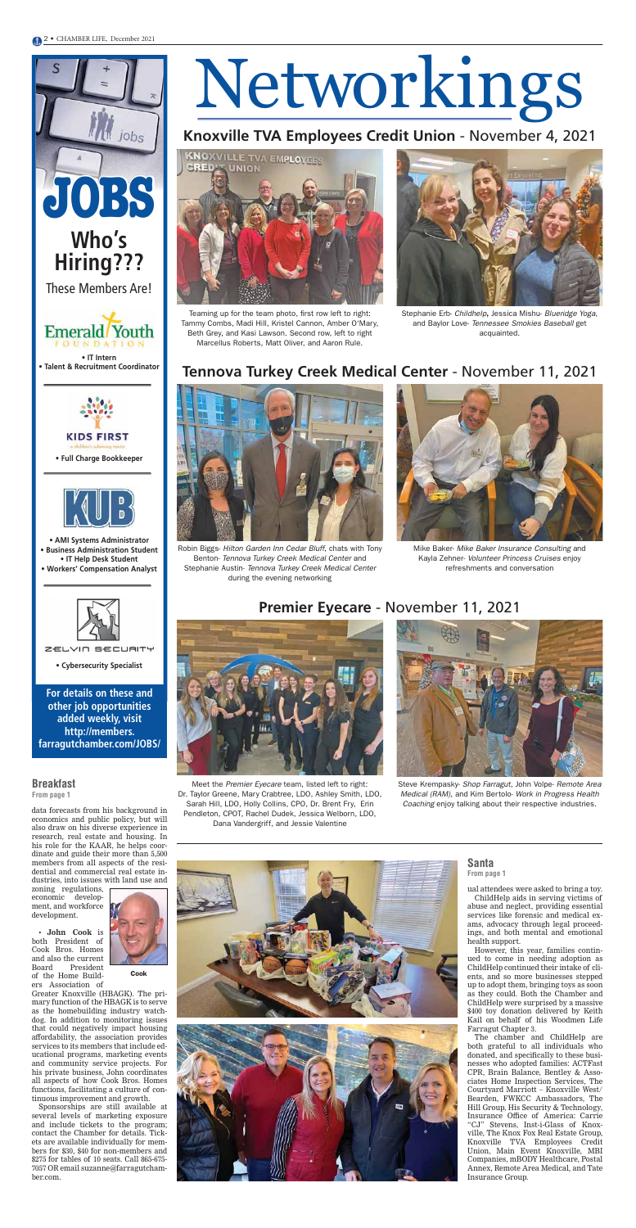# Networkings

#### **Knoxville TVA Employees Credit Union** - November 4, 2021

#### **Tennova Turkey Creek Medical Center** - November 11, 2021



#### **Premier Eyecare** - November 11, 2021







Teaming up for the team photo, first row left to right: Tammy Combs, Madi Hill, Kristel Cannon, Amber O'Mary, Beth Grey, and Kasi Lawson. Second row, left to right Marcellus Roberts, Matt Oliver, and Aaron Rule.



Robin Biggs- Hilton Garden Inn Cedar Bluff, chats with Tony Benton- Tennova Turkey Creek Medical Center and Stephanie Austin- Tennova Turkey Creek Medical Center during the evening networking

Steve Krempasky- Shop Farragut, John Volpe- Remote Area Medical (RAM), and Kim Bertolo- Work in Progress Health Coaching enjoy talking about their respective industries.



Meet the Premier Eyecare team, listed left to right: Dr. Taylor Greene, Mary Crabtree, LDO, Ashley Smith, LDO, Sarah Hill, LDO, Holly Collins, CPO, Dr. Brent Fry, Erin Pendleton, CPOT, Rachel Dudek, Jessica Welborn, LDO, Dana Vandergriff, and Jessie Valentine



Stephanie Erb- Childhelp, Jessica Mishu- Blueridge Yoga, and Baylor Love- Tennessee Smokies Baseball get acquainted.



Mike Baker- Mike Baker Insurance Consulting and Kayla Zehner- Volunteer Princess Cruises enjoy refreshments and conversation

**JOBS**

jobs

**Who's** 

**Hiring???**

These Members Are!

#### **For details on these and other job opportunities**

**added weekly, visit http://members. farragutchamber.com/JOBS/**

**• IT Intern • Talent & Recruitment Coordinator**

**Emerald** Youth

**• Full Charge Bookkeeper**



**• AMI Systems Administrator • Business Administration Student • IT Help Desk Student • Workers' Compensation Analyst**



ZELVIN SECURITY

**• Cybersecurity Specialist**

ual attendees were asked to bring a toy. ChildHelp aids in serving victims of abuse and neglect, providing essential services like forensic and medical exams, advocacy through legal proceedings, and both mental and emotional health support.

However, this year, families continued to come in needing adoption as ChildHelp continued their intake of clients, and so more businesses stepped up to adopt them, bringing toys as soon as they could. Both the Chamber and ChildHelp were surprised by a massive \$400 toy donation delivered by Keith Kail on behalf of his Woodmen Life Farragut Chapter 3.

The chamber and ChildHelp are both grateful to all individuals who donated, and specifically to these businesses who adopted families: ACTFast CPR, Brain Balance, Bentley & Associates Home Inspection Services, The Courtyard Marriott – Knoxville West/ Bearden, FWKCC Ambassadors, The Hill Group, His Security & Technology, Insurance Office of America: Carrie "CJ" Stevens, Inst-i-Glass of Knoxville, The Knox Fox Real Estate Group, Knoxville TVA Employees Credit Union, Main Event Knoxville, MBI Companies, mBODY Healthcare, Postal Annex, Remote Area Medical, and Tate Insurance Group.

data forecasts from his background in economics and public policy, but will also draw on his diverse experience in research, real estate and housing. In his role for the KAAR, he helps coordinate and guide their more than 5,500 members from all aspects of the residential and commercial real estate industries, into issues with land use and

zoning regulations, economic development, and workforce development.

• **John Cook** is both President of Cook Bros. Homes and also the current Board President of the Home Builders Association of



Greater Knoxville (HBAGK). The primary function of the HBAGK is to serve as the homebuilding industry watchdog. In addition to monitoring issues that could negatively impact housing affordability, the association provides services to its members that include educational programs, marketing events and community service projects. For his private business, John coordinates all aspects of how Cook Bros. Homes functions, facilitating a culture of continuous improvement and growth.

Sponsorships are still available at several levels of marketing exposure and include tickets to the program; contact the Chamber for details. Tickets are available individually for members for \$30, \$40 for non-members and \$275 for tables of 10 seats. Call 865-675- 7057 OR email suzanne@farragutchamber.com.

#### **Santa From page 1**

#### **Breakfast**

**From page 1**

Cook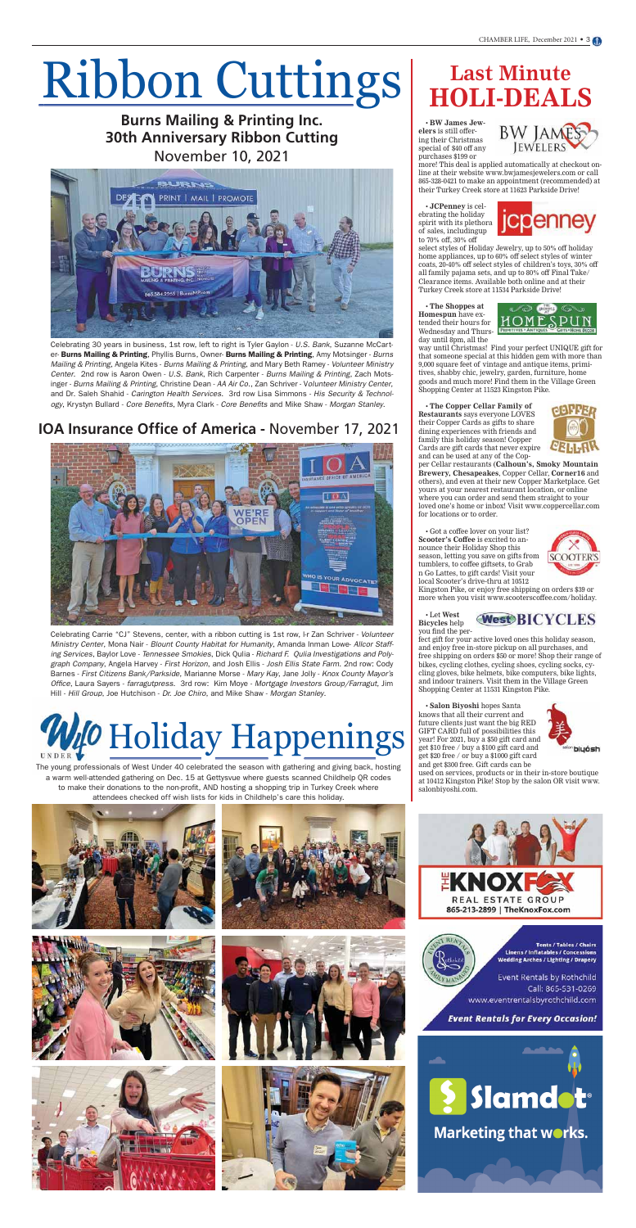# Ribbon Cuttings



Celebrating 30 years in business, 1st row, left to right is Tyler Gaylon - U.S. Bank, Suzanne McCarter- Burns Mailing & Printing, Phyllis Burns, Owner- Burns Mailing & Printing, Amy Motsinger - Burns Mailing & Printing, Angela Kites - Burns Mailing & Printing, and Mary Beth Ramey - Volunteer Ministry Center. 2nd row is Aaron Owen - U.S. Bank, Rich Carpenter - Burns Mailing & Printing, Zach Motsinger - Burns Mailing & Printing, Christine Dean - AA Air Co., Zan Schriver - Volunteer Ministry Center, and Dr. Saleh Shahid - Carington Health Services. 3rd row Lisa Simmons - His Security & Technology, Krystyn Bullard - Core Benefits, Myra Clark - Core Benefits and Mike Shaw - Morgan Stanley.

#### **Burns Mailing & Printing Inc. 30th Anniversary Ribbon Cutting** November 10, 2021



#### **IOA Insurance Office of America -** November 17, 2021



Celebrating Carrie "CJ" Stevens, center, with a ribbon cutting is 1st row, l-r Zan Schriver - Volunteer Ministry Center, Mona Nair - Blount County Habitat for Humanity, Amanda Inman Lowe- Allcor Staffing Services, Baylor Love - Tennessee Smokies, Dick Qulia - Richard F. Qulia Investigations and Polygraph Company, Angela Harvey - First Horizon, and Josh Ellis - Josh Ellis State Farm. 2nd row: Cody Barnes - First Citizens Bank/Parkside, Marianne Morse - Mary Kay, Jane Jolly - Knox County Mayor's Office, Laura Sayers - farragutpress. 3rd row: Kim Moye - Mortgage Investors Group/Farragut, Jim Hill - Hill Group. Joe Hutchison - Dr. Joe Chiro, and Mike Shaw - Morgan Stanley.

• **BW James Jewelers** is still offering their Christmas special of \$40 off any purchases \$199 or



more! This deal is applied automatically at checkout online at their website www.bwjamesjewelers.com or call 865-328-0421 to make an appointment (recommended) at their Turkey Creek store at 11623 Parkside Drive!

• **JCPenney** is celebrating the holiday spirit with its plethora of sales, includingup to 70% off, 30% off



select styles of Holiday Jewelry, up to 50% off holiday home appliances, up to 60% off select styles of winter coats, 20-40% off select styles of children's toys, 30% off all family pajama sets, and up to 80% off Final Take/ Clearance items. Available both online and at their Turkey Creek store at 11534 Parkside Drive!

• **The Shoppes at Homespun** have extended their hours for Wednesday and Thursday until 8pm, all the



way until Christmas! Find your perfect UNIQUE gift for that someone special at this hidden gem with more than 9,000 square feet of vintage and antique items, primitives, shabby chic, jewelry, garden, furniture, home goods and much more! Find them in the Village Green Shopping Center at 11523 Kingston Pike.

• **The Copper Cellar Family of Restaurants** says everyone LOVES their Copper Cards as gifts to share dining experiences with friends and family this holiday season! Copper Cards are gift cards that never expire and can be used at any of the Cop-



per Cellar restaurants (**Calhoun's, Smoky Mountain Brewery, Chesapeakes**, Copper Cellar, **Corner16** and others), and even at their new Copper Marketplace. Get yours at your nearest restaurant location, or online where you can order and send them straight to your loved one's home or inbox! Visit www.coppercellar.com for locations or to order.

• Got a coffee lover on your list? **Scooter's Coffee** is excited to announce their Holiday Shop this season, letting you save on gifts from tumblers, to coffee giftsets, to Grab n Go Lattes, to gift cards! Visit your local Scooter's drive-thru at 10512



Kingston Pike, or enjoy free shipping on orders \$39 or more when you visit www.scooterscoffee.com/holiday.

• Let **West Bicycles** help you find the per-



fect gift for your active loved ones this holiday season, and enjoy free in-store pickup on all purchases, and free shipping on orders \$50 or more! Shop their range of bikes, cycling clothes, cycling shoes, cycling socks, cycling gloves, bike helmets, bike computers, bike lights, and indoor trainers. Visit them in the Village Green Shopping Center at 11531 Kingston Pike.

• **Salon Biyoshi** hopes Santa



knows that all their current and future clients just want the big RED GIFT CARD full of possibilities this year! For 2021, buy a \$50 gift card and get \$10 free / buy a \$100 gift card and get \$20 free / or buy a \$1000 gift card and get \$300 free. Gift cards can be

used on services, products or in their in-store boutique at 10412 Kingston Pike! Stop by the salon OR visit www. salonbiyoshi.com.





**Tents / Tables / Chairs Linens / Inflatables / Concessions** Wedding Arches / Lighting / Drapery

Event Rentals by Rothchild Call: 865-531-0269 www.eventrentalsbyrothchild.com

**Event Rentals for Every Occasion!** 



Marketing that works.

# **Last Minute HOLI-DEALS**

The young professionals of West Under 40 celebrated the season with gathering and giving back, hosting a warm well-attended gathering on Dec. 15 at Gettysvue where guests scanned Childhelp QR codes to make their donations to the non-profit, AND hosting a shopping trip in Turkey Creek where attendees checked off wish lists for kids in Childhelp's care this holiday.